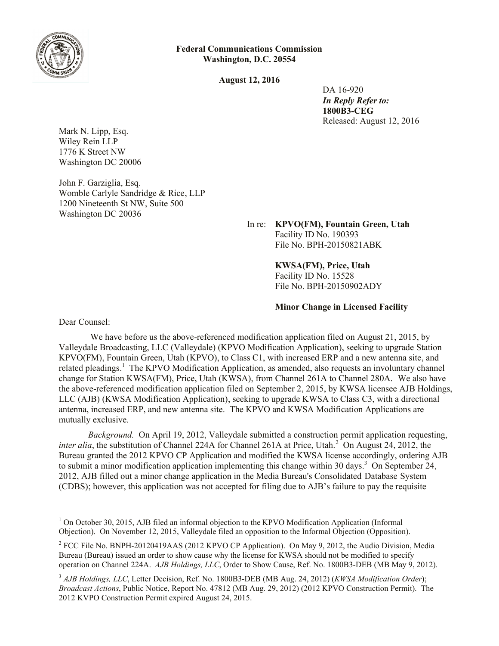

**Federal Communications Commission Washington, D.C. 20554**

**August 12, 2016**

 DA 16-920 *In Reply Refer to:* **1800B3-CEG** Released: August 12, 2016

Mark N. Lipp, Esq. Wiley Rein LLP 1776 K Street NW Washington DC 20006

John F. Garziglia, Esq. Womble Carlyle Sandridge & Rice, LLP 1200 Nineteenth St NW, Suite 500 Washington DC 20036

> In re: **KPVO(FM), Fountain Green, Utah** Facility ID No. 190393 File No. BPH-20150821ABK

> > **KWSA(FM), Price, Utah** Facility ID No. 15528 File No. BPH-20150902ADY

**Minor Change in Licensed Facility**

Dear Counsel:

We have before us the above-referenced modification application filed on August 21, 2015, by Valleydale Broadcasting, LLC (Valleydale) (KPVO Modification Application), seeking to upgrade Station KPVO(FM), Fountain Green, Utah (KPVO), to Class C1, with increased ERP and a new antenna site, and related pleadings.<sup>1</sup> The KPVO Modification Application, as amended, also requests an involuntary channel change for Station KWSA(FM), Price, Utah (KWSA), from Channel 261A to Channel 280A. We also have the above-referenced modification application filed on September 2, 2015, by KWSA licensee AJB Holdings, LLC (AJB) (KWSA Modification Application), seeking to upgrade KWSA to Class C3, with a directional antenna, increased ERP, and new antenna site. The KPVO and KWSA Modification Applications are mutually exclusive.

*Background.* On April 19, 2012, Valleydale submitted a construction permit application requesting, *inter alia*, the substitution of Channel 224A for Channel 261A at Price, Utah.<sup>2</sup> On August 24, 2012, the Bureau granted the 2012 KPVO CP Application and modified the KWSA license accordingly, ordering AJB to submit a minor modification application implementing this change within 30 days. <sup>3</sup> On September 24, 2012, AJB filled out a minor change application in the Media Bureau's Consolidated Database System (CDBS); however, this application was not accepted for filing due to AJB's failure to pay the requisite

l  $1$  On October 30, 2015, AJB filed an informal objection to the KPVO Modification Application (Informal Objection). On November 12, 2015, Valleydale filed an opposition to the Informal Objection (Opposition).

<sup>&</sup>lt;sup>2</sup> FCC File No. BNPH-20120419AAS (2012 KPVO CP Application). On May 9, 2012, the Audio Division, Media Bureau (Bureau) issued an order to show cause why the license for KWSA should not be modified to specify operation on Channel 224A. *AJB Holdings, LLC*, Order to Show Cause, Ref. No. 1800B3-DEB (MB May 9, 2012).

<sup>3</sup> *AJB Holdings, LLC*, Letter Decision, Ref. No. 1800B3-DEB (MB Aug. 24, 2012) (*KWSA Modification Order*); *Broadcast Actions*, Public Notice, Report No. 47812 (MB Aug. 29, 2012) (2012 KPVO Construction Permit). The 2012 KVPO Construction Permit expired August 24, 2015.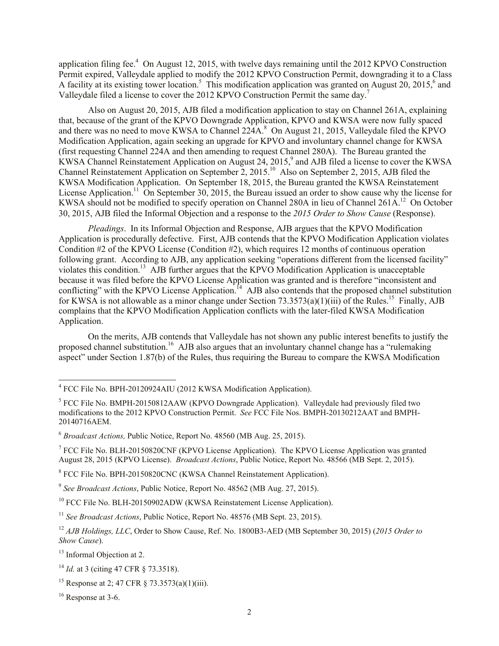application filing fee.<sup>4</sup> On August 12, 2015, with twelve days remaining until the 2012 KPVO Construction Permit expired, Valleydale applied to modify the 2012 KPVO Construction Permit, downgrading it to a Class A facility at its existing tower location.<sup>5</sup> This modification application was granted on August 20, 2015,<sup>6</sup> and Valleydale filed a license to cover the 2012 KPVO Construction Permit the same day.<sup>7</sup>

Also on August 20, 2015, AJB filed a modification application to stay on Channel 261A, explaining that, because of the grant of the KPVO Downgrade Application, KPVO and KWSA were now fully spaced and there was no need to move KWSA to Channel  $224A$ <sup>8</sup>. On August 21, 2015, Valleydale filed the KPVO Modification Application, again seeking an upgrade for KPVO and involuntary channel change for KWSA (first requesting Channel 224A and then amending to request Channel 280A). The Bureau granted the KWSA Channel Reinstatement Application on August 24, 2015, 9 and AJB filed a license to cover the KWSA Channel Reinstatement Application on September 2, 2015. 10 Also on September 2, 2015, AJB filed the KWSA Modification Application. On September 18, 2015, the Bureau granted the KWSA Reinstatement License Application.<sup>11</sup> On September 30, 2015, the Bureau issued an order to show cause why the license for KWSA should not be modified to specify operation on Channel 280A in lieu of Channel 261A.<sup>12</sup> On October 30, 2015, AJB filed the Informal Objection and a response to the *2015 Order to Show Cause* (Response).

*Pleadings*. In its Informal Objection and Response, AJB argues that the KPVO Modification Application is procedurally defective. First, AJB contends that the KPVO Modification Application violates Condition #2 of the KPVO License (Condition #2), which requires 12 months of continuous operation following grant. According to AJB, any application seeking "operations different from the licensed facility" violates this condition.<sup>13</sup> AJB further argues that the KPVO Modification Application is unacceptable because it was filed before the KPVO License Application was granted and is therefore "inconsistent and conflicting" with the KPVO License Application.<sup>14</sup> AJB also contends that the proposed channel substitution for KWSA is not allowable as a minor change under Section 73.3573(a)(1)(iii) of the Rules.<sup>15</sup> Finally, AJB complains that the KPVO Modification Application conflicts with the later-filed KWSA Modification Application.

On the merits, AJB contends that Valleydale has not shown any public interest benefits to justify the proposed channel substitution.<sup>16</sup> AJB also argues that an involuntary channel change has a "rulemaking" aspect" under Section 1.87(b) of the Rules, thus requiring the Bureau to compare the KWSA Modification

<sup>13</sup> Informal Objection at 2.

 4 FCC File No. BPH-20120924AIU (2012 KWSA Modification Application).

 $<sup>5</sup>$  FCC File No. BMPH-20150812AAW (KPVO Downgrade Application). Valleydale had previously filed two</sup> modifications to the 2012 KPVO Construction Permit. *See* FCC File Nos. BMPH-20130212AAT and BMPH-20140716AEM.

<sup>6</sup> *Broadcast Actions,* Public Notice, Report No. 48560 (MB Aug. 25, 2015).

<sup>&</sup>lt;sup>7</sup> FCC File No. BLH-20150820CNF (KPVO License Application). The KPVO License Application was granted August 28, 2015 (KPVO License). *Broadcast Actions*, Public Notice, Report No. 48566 (MB Sept. 2, 2015).

<sup>&</sup>lt;sup>8</sup> FCC File No. BPH-20150820CNC (KWSA Channel Reinstatement Application).

<sup>9</sup> *See Broadcast Actions*, Public Notice, Report No. 48562 (MB Aug. 27, 2015).

<sup>&</sup>lt;sup>10</sup> FCC File No. BLH-20150902ADW (KWSA Reinstatement License Application).

<sup>&</sup>lt;sup>11</sup> *See Broadcast Actions*, Public Notice, Report No. 48576 (MB Sept. 23, 2015).

<sup>12</sup> *AJB Holdings, LLC*, Order to Show Cause, Ref. No. 1800B3-AED (MB September 30, 2015) (*2015 Order to Show Cause*).

<sup>&</sup>lt;sup>14</sup> *Id.* at 3 (citing 47 CFR § 73.3518).

<sup>&</sup>lt;sup>15</sup> Response at 2; 47 CFR  $\S$  73.3573(a)(1)(iii).

 $16$  Response at 3-6.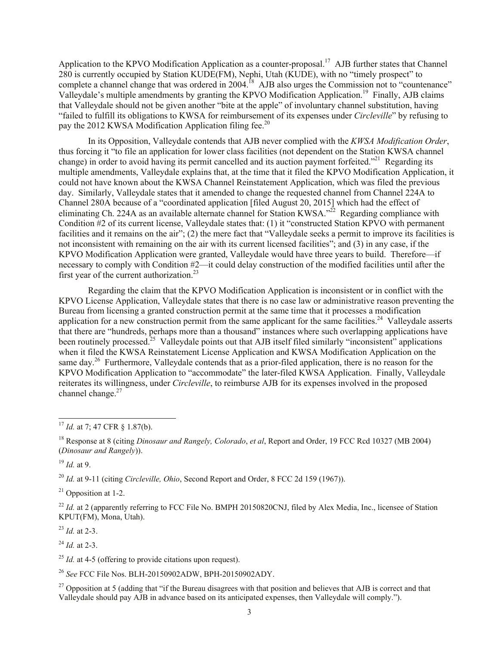Application to the KPVO Modification Application as a counter-proposal.<sup>17</sup> AJB further states that Channel  $280$  is currently occupied by Station KUDE(FM), Nephi, Utah (KUDE), with no "timely prospect" to complete a channel change that was ordered in 2004.<sup>18</sup> AJB also urges the Commission not to "countenance" Valleydale's multiple amendments by granting the KPVO Modification Application.<sup>19</sup> Finally, AJB claims that Valleydale should not be given another "bite at the apple" of involuntary channel substitution, having "failed to fulfill its obligations to KWSA for reimbursement of its expenses under *Circleville*" by refusing to pay the 2012 KWSA Modification Application filing fee.<sup>20</sup>

In its Opposition, Valleydale contends that AJB never complied with the *KWSA Modification Order*, thus forcing it "to file an application for lower class facilities (not dependent on the Station KWSA channel change) in order to avoid having its permit cancelled and its auction payment forfeited."<sup>21</sup> Regarding its multiple amendments, Valleydale explains that, at the time that it filed the KPVO Modification Application, it could not have known about the KWSA Channel Reinstatement Application, which was filed the previous day. Similarly, Valleydale states that it amended to change the requested channel from Channel 224A to Channel 280A because of a "coordinated application [filed August 20, 2015] which had the effect of eliminating Ch. 224A as an available alternate channel for Station KWSA.<sup> $22$ </sup> Regarding compliance with Condition #2 of its current license, Valleydale states that: (1) it "constructed Station KPVO with permanent facilities and it remains on the air"; (2) the mere fact that "Valleydale seeks a permit to improve its facilities is not inconsistent with remaining on the air with its current licensed facilities"; and (3) in any case, if the KPVO Modification Application were granted, Valleydale would have three years to build. Therefore—if necessary to comply with Condition #2—it could delay construction of the modified facilities until after the first year of the current authorization.<sup>23</sup>

Regarding the claim that the KPVO Modification Application is inconsistent or in conflict with the KPVO License Application, Valleydale states that there is no case law or administrative reason preventing the Bureau from licensing a granted construction permit at the same time that it processes a modification application for a new construction permit from the same applicant for the same facilities.<sup>24</sup> Valleydale asserts that there are "hundreds, perhaps more than a thousand" instances where such overlapping applications have been routinely processed.<sup>25</sup> Valleydale points out that AJB itself filed similarly "inconsistent" applications when it filed the KWSA Reinstatement License Application and KWSA Modification Application on the same day.<sup>26</sup> Furthermore, Valleydale contends that as a prior-filed application, there is no reason for the KPVO Modification Application to "accommodate" the later-filed KWSA Application. Finally, Valleydale reiterates its willingness, under *Circleville*, to reimburse AJB for its expenses involved in the proposed channel change. $27$ 

<sup>19</sup> *Id.* at 9.

 $\overline{a}$ 

<sup>20</sup> *Id.* at 9-11 (citing *Circleville, Ohio*, Second Report and Order, 8 FCC 2d 159 (1967)).

 $21$  Opposition at 1-2.

<sup>22</sup> *Id.* at 2 (apparently referring to FCC File No. BMPH 20150820CNJ, filed by Alex Media, Inc., licensee of Station KPUT(FM), Mona, Utah).

<sup>23</sup> *Id.* at 2-3.

<sup>24</sup> *Id.* at 2-3.

<sup>25</sup> *Id.* at 4-5 (offering to provide citations upon request).

<sup>26</sup> *See* FCC File Nos. BLH-20150902ADW, BPH-20150902ADY.

<sup>27</sup> Opposition at 5 (adding that "if the Bureau disagrees with that position and believes that AJB is correct and that Valleydale should pay AJB in advance based on its anticipated expenses, then Valleydale will comply.").

<sup>17</sup> *Id.* at 7; 47 CFR § 1.87(b).

<sup>18</sup> Response at 8 (citing *Dinosaur and Rangely, Colorado*, *et al*, Report and Order, 19 FCC Rcd 10327 (MB 2004) (*Dinosaur and Rangely*)).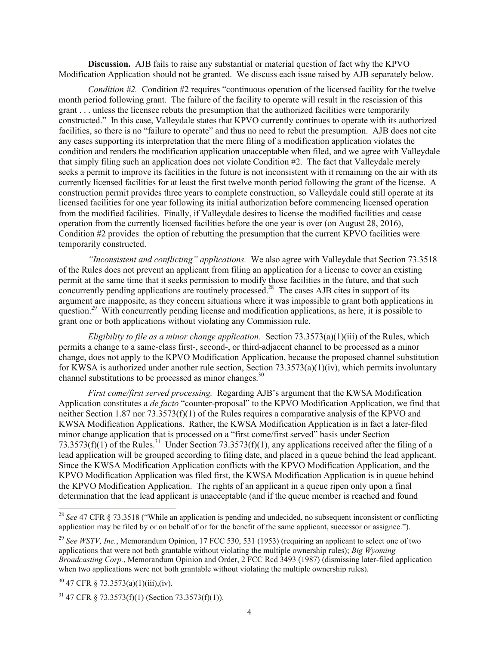**Discussion.** AJB fails to raise any substantial or material question of fact why the KPVO Modification Application should not be granted. We discuss each issue raised by AJB separately below.

*Condition #2.* Condition #2 requires "continuous operation of the licensed facility for the twelve month period following grant. The failure of the facility to operate will result in the rescission of this grant . . . unless the licensee rebuts the presumption that the authorized facilities were temporarily constructed." In this case, Valleydale states that KPVO currently continues to operate with its authorized facilities, so there is no "failure to operate" and thus no need to rebut the presumption. AJB does not cite any cases supporting its interpretation that the mere filing of a modification application violates the condition and renders the modification application unacceptable when filed, and we agree with Valleydale that simply filing such an application does not violate Condition #2. The fact that Valleydale merely seeks a permit to improve its facilities in the future is not inconsistent with it remaining on the air with its currently licensed facilities for at least the first twelve month period following the grant of the license. A construction permit provides three years to complete construction, so Valleydale could still operate at its licensed facilities for one year following its initial authorization before commencing licensed operation from the modified facilities. Finally, if Valleydale desires to license the modified facilities and cease operation from the currently licensed facilities before the one year is over (on August 28, 2016), Condition #2 provides the option of rebutting the presumption that the current KPVO facilities were temporarily constructed.

*"Inconsistent and conflicting" applications.* We also agree with Valleydale that Section 73.3518 of the Rules does not prevent an applicant from filing an application for a license to cover an existing permit at the same time that it seeks permission to modify those facilities in the future, and that such concurrently pending applications are routinely processed.<sup>28</sup> The cases AJB cites in support of its argument are inapposite, as they concern situations where it was impossible to grant both applications in question.<sup>29</sup> With concurrently pending license and modification applications, as here, it is possible to grant one or both applications without violating any Commission rule.

*Eligibility to file as a minor change application.* Section 73.3573(a)(1)(iii) of the Rules, which permits a change to a same-class first-, second-, or third-adjacent channel to be processed as a minor change, does not apply to the KPVO Modification Application, because the proposed channel substitution for KWSA is authorized under another rule section, Section  $73.3573(a)(1)(iv)$ , which permits involuntary channel substitutions to be processed as minor changes.<sup>30</sup>

*First come/first served processing.* Regarding AJB's argument that the KWSA Modification Application constitutes a *de facto* "counter-proposal" to the KPVO Modification Application, we find that neither Section 1.87 nor 73.3573(f)(1) of the Rules requires a comparative analysis of the KPVO and KWSA Modification Applications. Rather, the KWSA Modification Application is in fact a later-filed minor change application that is processed on a "first come/first served" basis under Section 73.3573(f)(1) of the Rules.<sup>31</sup> Under Section 73.3573(f)(1), any applications received after the filing of a lead application will be grouped according to filing date, and placed in a queue behind the lead applicant. Since the KWSA Modification Application conflicts with the KPVO Modification Application, and the KPVO Modification Application was filed first, the KWSA Modification Application is in queue behind the KPVO Modification Application. The rights of an applicant in a queue ripen only upon a final determination that the lead applicant is unacceptable (and if the queue member is reached and found

 $\overline{a}$ 

<sup>28</sup> *See* 47 CFR § 73.3518 ("While an application is pending and undecided, no subsequent inconsistent or conflicting application may be filed by or on behalf of or for the benefit of the same applicant, successor or assignee.").

<sup>&</sup>lt;sup>29</sup> See WSTV, Inc., Memorandum Opinion, 17 FCC 530, 531 (1953) (requiring an applicant to select one of two applications that were not both grantable without violating the multiple ownership rules); *Big Wyoming Broadcasting Corp.*, Memorandum Opinion and Order, 2 FCC Rcd 3493 (1987) (dismissing later-filed application when two applications were not both grantable without violating the multiple ownership rules).

 $30$  47 CFR § 73.3573(a)(1)(iii),(iv).

 $31$  47 CFR § 73.3573(f)(1) (Section 73.3573(f)(1)).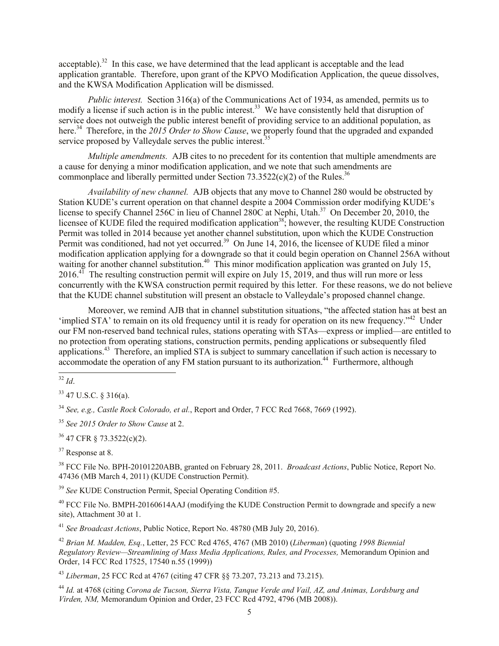acceptable). $32$  In this case, we have determined that the lead applicant is acceptable and the lead application grantable. Therefore, upon grant of the KPVO Modification Application, the queue dissolves, and the KWSA Modification Application will be dismissed.

*Public interest.* Section 316(a) of the Communications Act of 1934, as amended, permits us to modify a license if such action is in the public interest.<sup>33</sup> We have consistently held that disruption of service does not outweigh the public interest benefit of providing service to an additional population, as here. 34 Therefore, in the *2015 Order to Show Cause*, we properly found that the upgraded and expanded service proposed by Valleydale serves the public interest.<sup>35</sup>

*Multiple amendments.* AJB cites to no precedent for its contention that multiple amendments are a cause for denying a minor modification application, and we note that such amendments are commonplace and liberally permitted under Section  $73.3522(c)(2)$  of the Rules.<sup>36</sup>

*Availability of new channel.* AJB objects that any move to Channel 280 would be obstructed by Station KUDE's current operation on that channel despite a 2004 Commission order modifying KUDE's license to specify Channel 256C in lieu of Channel 280C at Nephi, Utah.<sup>37</sup> On December 20, 2010, the licensee of KUDE filed the required modification application<sup>38</sup>; however, the resulting KUDE Construction Permit was tolled in 2014 because yet another channel substitution, upon which the KUDE Construction Permit was conditioned, had not yet occurred.<sup>39</sup> On June 14, 2016, the licensee of KUDE filed a minor modification application applying for a downgrade so that it could begin operation on Channel 256A without waiting for another channel substitution.<sup>40</sup> This minor modification application was granted on July 15,  $2016<sup>4</sup>$  The resulting construction permit will expire on July 15, 2019, and thus will run more or less concurrently with the KWSA construction permit required by this letter. For these reasons, we do not believe that the KUDE channel substitution will present an obstacle to Valleydale's proposed channel change.

Moreover, we remind AJB that in channel substitution situations, "the affected station has at best an 'implied STA' to remain on its old frequency until it is ready for operation on its new frequency."<sup>42</sup> Under our FM non-reserved band technical rules, stations operating with STAs—express or implied—are entitled to no protection from operating stations, construction permits, pending applications or subsequently filed applications.<sup>43</sup> Therefore, an implied STA is subject to summary cancellation if such action is necessary to accommodate the operation of any FM station pursuant to its authorization.<sup>44</sup> Furthermore, although  $\overline{a}$ 

<sup>33</sup> 47 U.S.C. § 316(a).

<sup>35</sup> *See 2015 Order to Show Cause* at 2.

<sup>36</sup> 47 CFR § 73.3522(c)(2).

<sup>37</sup> Response at 8.

<sup>38</sup> FCC File No. BPH-20101220ABB, granted on February 28, 2011. *Broadcast Actions*, Public Notice, Report No. 47436 (MB March 4, 2011) (KUDE Construction Permit).

<sup>39</sup> *See* KUDE Construction Permit, Special Operating Condition #5.

 $^{40}$  FCC File No. BMPH-20160614AAJ (modifying the KUDE Construction Permit to downgrade and specify a new site), Attachment 30 at 1.

<sup>41</sup> *See Broadcast Actions*, Public Notice, Report No. 48780 (MB July 20, 2016).

<sup>42</sup> *Brian M. Madden, Esq.*, Letter, 25 FCC Rcd 4765, 4767 (MB 2010) (*Liberman*) (quoting *1998 Biennial Regulatory Review—Streamlining of Mass Media Applications, Rules, and Processes,* Memorandum Opinion and Order, 14 FCC Rcd 17525, 17540 n.55 (1999))

<sup>43</sup> *Liberman*, 25 FCC Rcd at 4767 (citing 47 CFR §§ 73.207, 73.213 and 73.215).

<sup>44</sup> *Id.* at 4768 (citing *Corona de Tucson, Sierra Vista, Tanque Verde and Vail, AZ, and Animas, Lordsburg and Virden, NM,* Memorandum Opinion and Order, 23 FCC Rcd 4792, 4796 (MB 2008)).

<sup>32</sup> *Id*.

<sup>34</sup> *See, e.g., Castle Rock Colorado, et al.*, Report and Order, 7 FCC Rcd 7668, 7669 (1992).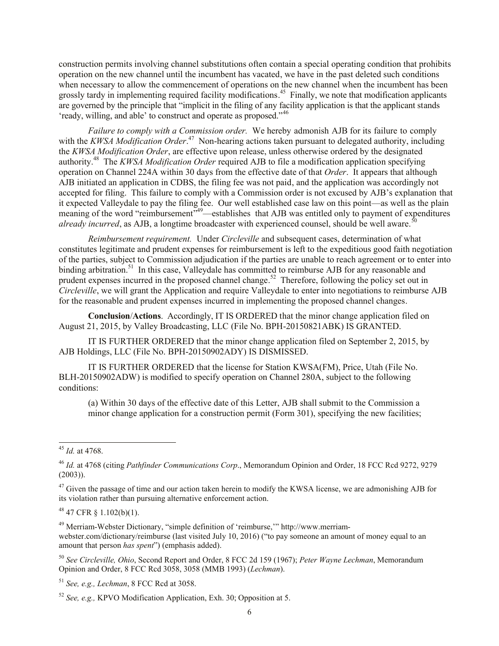construction permits involving channel substitutions often contain a special operating condition that prohibits operation on the new channel until the incumbent has vacated, we have in the past deleted such conditions when necessary to allow the commencement of operations on the new channel when the incumbent has been grossly tardy in implementing required facility modifications.<sup>45</sup> Finally, we note that modification applicants are governed by the principle that "implicit in the filing of any facility application is that the applicant stands 'ready, willing, and able' to construct and operate as proposed."<sup>46</sup>

*Failure to comply with a Commission order.* We hereby admonish AJB for its failure to comply with the *KWSA Modification Order*.<sup>47</sup> Non-hearing actions taken pursuant to delegated authority, including the *KWSA Modification Order*, are effective upon release, unless otherwise ordered by the designated authority. 48 The *KWSA Modification Order* required AJB to file a modification application specifying operation on Channel 224A within 30 days from the effective date of that *Order*. It appears that although AJB initiated an application in CDBS, the filing fee was not paid, and the application was accordingly not accepted for filing. This failure to comply with a Commission order is not excused by AJB's explanation that it expected Valleydale to pay the filing fee. Our well established case law on this point—as well as the plain meaning of the word "reimbursement"<sup>49</sup>—establishes that AJB was entitled only to payment of expenditures *already incurred*, as AJB, a longtime broadcaster with experienced counsel, should be well aware.<sup>5</sup>

*Reimbursement requirement.* Under *Circleville* and subsequent cases, determination of what constitutes legitimate and prudent expenses for reimbursement is left to the expeditious good faith negotiation of the parties, subject to Commission adjudication if the parties are unable to reach agreement or to enter into binding arbitration.<sup>51</sup> In this case, Valleydale has committed to reimburse AJB for any reasonable and prudent expenses incurred in the proposed channel change.<sup>52</sup> Therefore, following the policy set out in *Circleville*, we will grant the Application and require Valleydale to enter into negotiations to reimburse AJB for the reasonable and prudent expenses incurred in implementing the proposed channel changes.

**Conclusion**/**Actions**. Accordingly, IT IS ORDERED that the minor change application filed on August 21, 2015, by Valley Broadcasting, LLC (File No. BPH-20150821ABK) IS GRANTED.

IT IS FURTHER ORDERED that the minor change application filed on September 2, 2015, by AJB Holdings, LLC (File No. BPH-20150902ADY) IS DISMISSED.

IT IS FURTHER ORDERED that the license for Station KWSA(FM), Price, Utah (File No. BLH-20150902ADW) is modified to specify operation on Channel 280A, subject to the following conditions:

(a) Within 30 days of the effective date of this Letter, AJB shall submit to the Commission a minor change application for a construction permit (Form 301), specifying the new facilities;

<sup>48</sup> 47 CFR § 1.102(b)(1).

<sup>49</sup> Merriam-Webster Dictionary, "simple definition of 'reimburse,'" http://www.merriamwebster.com/dictionary/reimburse (last visited July 10, 2016) ("to pay someone an amount of money equal to an amount that person *has spent*") (emphasis added).

<sup>50</sup> *See Circleville, Ohio*, Second Report and Order, 8 FCC 2d 159 (1967); *Peter Wayne Lechman*, Memorandum Opinion and Order, 8 FCC Rcd 3058, 3058 (MMB 1993) (*Lechman*).

 $\overline{a}$ <sup>45</sup> *Id.* at 4768.

<sup>46</sup> *Id.* at 4768 (citing *Pathfinder Communications Corp*., Memorandum Opinion and Order, 18 FCC Rcd 9272, 9279  $(2003)$ ).

<sup>&</sup>lt;sup>47</sup> Given the passage of time and our action taken herein to modify the KWSA license, we are admonishing AJB for its violation rather than pursuing alternative enforcement action.

<sup>51</sup> *See, e.g., Lechman*, 8 FCC Rcd at 3058.

<sup>52</sup> *See, e.g.,* KPVO Modification Application, Exh. 30; Opposition at 5.